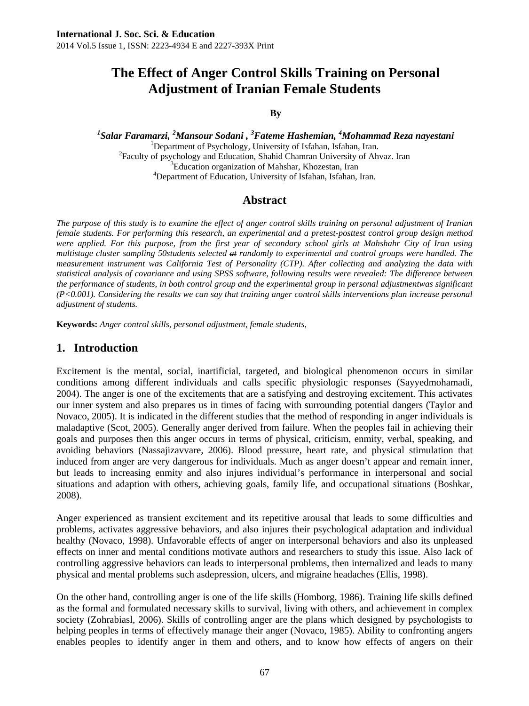# **The Effect of Anger Control Skills Training on Personal Adjustment of Iranian Female Students**

#### **By**

*1 Salar Faramarzi, <sup>2</sup> Mansour Sodani , 3 Fateme Hashemian, <sup>4</sup> Mohammad Reza nayestani* <sup>1</sup> <sup>1</sup>Department of Psychology, University of Isfahan, Isfahan, Iran. <sup>2</sup>Faculty of psychology and Education, Shahid Chamran University of Ahvaz. Iran <sup>3</sup>Education organization of Mahshar, Khozestan, Iran <sup>4</sup>Department of Education, University of Isfahan, Isfahan, Iran.

### **Abstract**

*The purpose of this study is to examine the effect of anger control skills training on personal adjustment of Iranian female students. For performing this research, an experimental and a pretest-posttest control group design method were applied. For this purpose, from the first year of secondary school girls at Mahshahr City of Iran using multistage cluster sampling 50students selected at randomly to experimental and control groups were handled. The measurement instrument was California Test of Personality (CTP). After collecting and analyzing the data with statistical analysis of covariance and using SPSS software, following results were revealed: The difference between the performance of students, in both control group and the experimental group in personal adjustmentwas significant (P<0.001). Considering the results we can say that training anger control skills interventions plan increase personal adjustment of students.* 

**Keywords:** *Anger control skills, personal adjustment, female students,* 

### **1. Introduction**

Excitement is the mental, social, inartificial, targeted, and biological phenomenon occurs in similar conditions among different individuals and calls specific physiologic responses (Sayyedmohamadi, 2004). The anger is one of the excitements that are a satisfying and destroying excitement. This activates our inner system and also prepares us in times of facing with surrounding potential dangers (Taylor and Novaco, 2005). It is indicated in the different studies that the method of responding in anger individuals is maladaptive (Scot, 2005). Generally anger derived from failure. When the peoples fail in achieving their goals and purposes then this anger occurs in terms of physical, criticism, enmity, verbal, speaking, and avoiding behaviors (Nassajizavvare, 2006). Blood pressure, heart rate, and physical stimulation that induced from anger are very dangerous for individuals. Much as anger doesn't appear and remain inner, but leads to increasing enmity and also injures individual's performance in interpersonal and social situations and adaption with others, achieving goals, family life, and occupational situations (Boshkar, 2008).

Anger experienced as transient excitement and its repetitive arousal that leads to some difficulties and problems, activates aggressive behaviors, and also injures their psychological adaptation and individual healthy (Novaco, 1998). Unfavorable effects of anger on interpersonal behaviors and also its unpleased effects on inner and mental conditions motivate authors and researchers to study this issue. Also lack of controlling aggressive behaviors can leads to interpersonal problems, then internalized and leads to many physical and mental problems such asdepression, ulcers, and migraine headaches (Ellis, 1998).

On the other hand, controlling anger is one of the life skills (Homborg, 1986). Training life skills defined as the formal and formulated necessary skills to survival, living with others, and achievement in complex society (Zohrabiasl, 2006). Skills of controlling anger are the plans which designed by psychologists to helping peoples in terms of effectively manage their anger (Novaco, 1985). Ability to confronting angers enables peoples to identify anger in them and others, and to know how effects of angers on their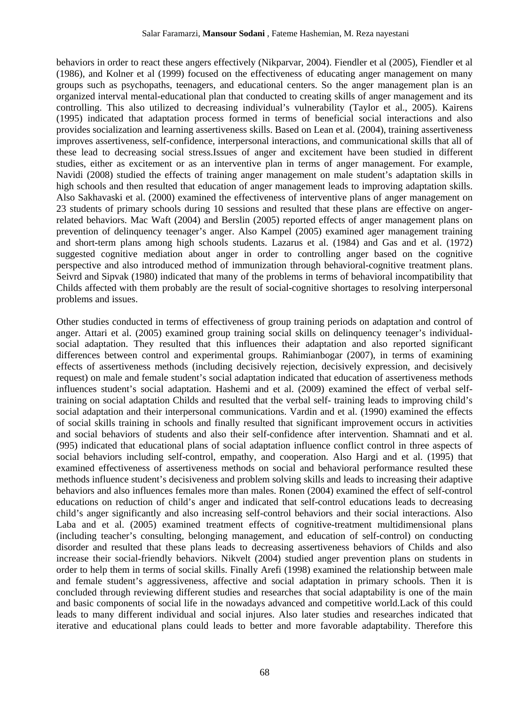behaviors in order to react these angers effectively (Nikparvar, 2004). Fiendler et al (2005), Fiendler et al (1986), and Kolner et al (1999) focused on the effectiveness of educating anger management on many groups such as psychopaths, teenagers, and educational centers. So the anger management plan is an organized interval mental-educational plan that conducted to creating skills of anger management and its controlling. This also utilized to decreasing individual's vulnerability (Taylor et al., 2005). Kairens (1995) indicated that adaptation process formed in terms of beneficial social interactions and also provides socialization and learning assertiveness skills. Based on Lean et al. (2004), training assertiveness improves assertiveness, self-confidence, interpersonal interactions, and communicational skills that all of these lead to decreasing social stress.Issues of anger and excitement have been studied in different studies, either as excitement or as an interventive plan in terms of anger management. For example, Navidi (2008) studied the effects of training anger management on male student's adaptation skills in high schools and then resulted that education of anger management leads to improving adaptation skills. Also Sakhavaski et al. (2000) examined the effectiveness of interventive plans of anger management on 23 students of primary schools during 10 sessions and resulted that these plans are effective on angerrelated behaviors. Mac Waft (2004) and Berslin (2005) reported effects of anger management plans on prevention of delinquency teenager's anger. Also Kampel (2005) examined ager management training and short-term plans among high schools students. Lazarus et al. (1984) and Gas and et al. (1972) suggested cognitive mediation about anger in order to controlling anger based on the cognitive perspective and also introduced method of immunization through behavioral-cognitive treatment plans. Seivrd and Sipvak (1980) indicated that many of the problems in terms of behavioral incompatibility that Childs affected with them probably are the result of social-cognitive shortages to resolving interpersonal problems and issues.

Other studies conducted in terms of effectiveness of group training periods on adaptation and control of anger. Attari et al. (2005) examined group training social skills on delinquency teenager's individualsocial adaptation. They resulted that this influences their adaptation and also reported significant differences between control and experimental groups. Rahimianbogar (2007), in terms of examining effects of assertiveness methods (including decisively rejection, decisively expression, and decisively request) on male and female student's social adaptation indicated that education of assertiveness methods influences student's social adaptation. Hashemi and et al. (2009) examined the effect of verbal selftraining on social adaptation Childs and resulted that the verbal self- training leads to improving child's social adaptation and their interpersonal communications. Vardin and et al. (1990) examined the effects of social skills training in schools and finally resulted that significant improvement occurs in activities and social behaviors of students and also their self-confidence after intervention. Shamnati and et al. (995) indicated that educational plans of social adaptation influence conflict control in three aspects of social behaviors including self-control, empathy, and cooperation. Also Hargi and et al. (1995) that examined effectiveness of assertiveness methods on social and behavioral performance resulted these methods influence student's decisiveness and problem solving skills and leads to increasing their adaptive behaviors and also influences females more than males. Ronen (2004) examined the effect of self-control educations on reduction of child's anger and indicated that self-control educations leads to decreasing child's anger significantly and also increasing self-control behaviors and their social interactions. Also Laba and et al. (2005) examined treatment effects of cognitive-treatment multidimensional plans (including teacher's consulting, belonging management, and education of self-control) on conducting disorder and resulted that these plans leads to decreasing assertiveness behaviors of Childs and also increase their social-friendly behaviors. Nikvelt (2004) studied anger prevention plans on students in order to help them in terms of social skills. Finally Arefi (1998) examined the relationship between male and female student's aggressiveness, affective and social adaptation in primary schools. Then it is concluded through reviewing different studies and researches that social adaptability is one of the main and basic components of social life in the nowadays advanced and competitive world.Lack of this could leads to many different individual and social injures. Also later studies and researches indicated that iterative and educational plans could leads to better and more favorable adaptability. Therefore this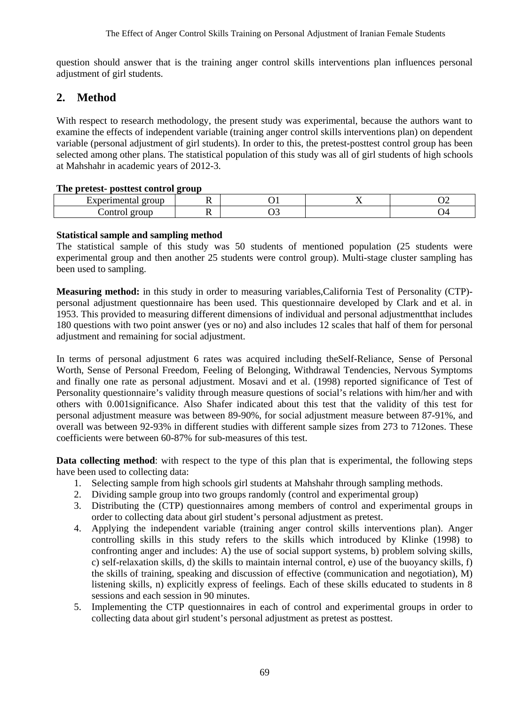question should answer that is the training anger control skills interventions plan influences personal adjustment of girl students.

## **2. Method**

With respect to research methodology, the present study was experimental, because the authors want to examine the effects of independent variable (training anger control skills interventions plan) on dependent variable (personal adjustment of girl students). In order to this, the pretest-posttest control group has been selected among other plans. The statistical population of this study was all of girl students of high schools at Mahshahr in academic years of 2012-3.

#### **The pretest- posttest control group**

| $\ldots$         | group | . . |   | . . | ັ້<br>__ |
|------------------|-------|-----|---|-----|----------|
| `ontrc<br>011001 | group | . . | . |     | ∸        |

#### **Statistical sample and sampling method**

The statistical sample of this study was 50 students of mentioned population (25 students were experimental group and then another 25 students were control group). Multi-stage cluster sampling has been used to sampling.

**Measuring method:** in this study in order to measuring variables,California Test of Personality (CTP) personal adjustment questionnaire has been used. This questionnaire developed by Clark and et al. in 1953. This provided to measuring different dimensions of individual and personal adjustmentthat includes 180 questions with two point answer (yes or no) and also includes 12 scales that half of them for personal adjustment and remaining for social adjustment.

In terms of personal adjustment 6 rates was acquired including theSelf-Reliance, Sense of Personal Worth, Sense of Personal Freedom, Feeling of Belonging, Withdrawal Tendencies, Nervous Symptoms and finally one rate as personal adjustment. Mosavi and et al. (1998) reported significance of Test of Personality questionnaire's validity through measure questions of social's relations with him/her and with others with 0.001significance. Also Shafer indicated about this test that the validity of this test for personal adjustment measure was between 89-90%, for social adjustment measure between 87-91%, and overall was between 92-93% in different studies with different sample sizes from 273 to 712ones. These coefficients were between 60-87% for sub-measures of this test.

**Data collecting method**: with respect to the type of this plan that is experimental, the following steps have been used to collecting data:

- 1. Selecting sample from high schools girl students at Mahshahr through sampling methods.
- 2. Dividing sample group into two groups randomly (control and experimental group)
- 3. Distributing the (CTP) questionnaires among members of control and experimental groups in order to collecting data about girl student's personal adjustment as pretest.
- 4. Applying the independent variable (training anger control skills interventions plan). Anger controlling skills in this study refers to the skills which introduced by Klinke (1998) to confronting anger and includes: A) the use of social support systems, b) problem solving skills, c) self-relaxation skills, d) the skills to maintain internal control, e) use of the buoyancy skills, f) the skills of training, speaking and discussion of effective (communication and negotiation), M) listening skills, n) explicitly express of feelings. Each of these skills educated to students in 8 sessions and each session in 90 minutes.
- 5. Implementing the CTP questionnaires in each of control and experimental groups in order to collecting data about girl student's personal adjustment as pretest as posttest.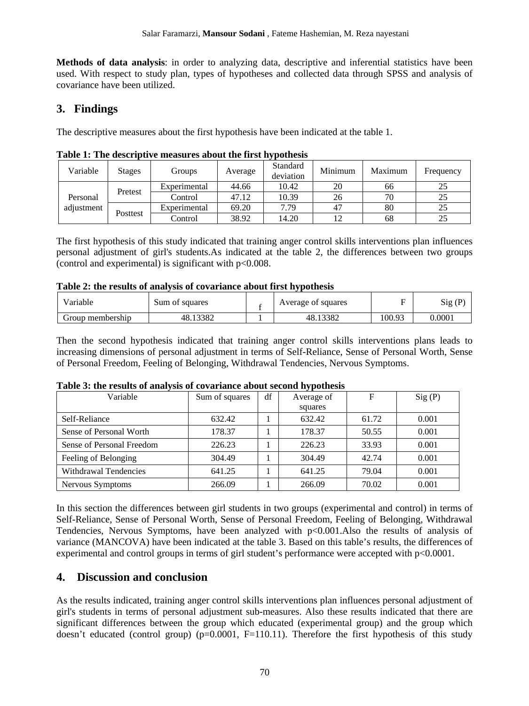**Methods of data analysis**: in order to analyzing data, descriptive and inferential statistics have been used. With respect to study plan, types of hypotheses and collected data through SPSS and analysis of covariance have been utilized.

# **3. Findings**

The descriptive measures about the first hypothesis have been indicated at the table 1.

| Variable   | <b>Stages</b> | Groups       | Average | Standard<br>deviation | Minimum | Maximum | Frequency |
|------------|---------------|--------------|---------|-----------------------|---------|---------|-----------|
|            | Pretest       | Experimental | 44.66   | 10.42                 | 20      | 66      | 25        |
| Personal   |               | Control      | 47.12   | 10.39                 | 26      | 70      | 25        |
| adjustment | Posttest      | Experimental | 69.20   | 7.79                  | 47      | 80      | 25        |
|            |               | Control      | 38.92   | 14.20                 |         | 68      | 25        |

**Table 1: The descriptive measures about the first hypothesis** 

The first hypothesis of this study indicated that training anger control skills interventions plan influences personal adjustment of girl's students.As indicated at the table 2, the differences between two groups (control and experimental) is significant with  $p<0.008$ .

#### **Table 2: the results of analysis of covariance about first hypothesis**

| T<br>Variable    | Sum of squares | Average of squares | -      | Sig<br>(P)        |
|------------------|----------------|--------------------|--------|-------------------|
| Group membership | 13382<br>48.1  | 13382<br>48.1      | 100.93 | $0.000\mathrm{I}$ |

Then the second hypothesis indicated that training anger control skills interventions plans leads to increasing dimensions of personal adjustment in terms of Self-Reliance, Sense of Personal Worth, Sense of Personal Freedom, Feeling of Belonging, Withdrawal Tendencies, Nervous Symptoms.

| $\sim$ which is a common of minimal of collections would be provided in $\sim$<br>Variable | Sum of squares | df | Average of | F     | Sig(P) |  |
|--------------------------------------------------------------------------------------------|----------------|----|------------|-------|--------|--|
|                                                                                            |                |    | squares    |       |        |  |
| Self-Reliance                                                                              | 632.42         |    | 632.42     | 61.72 | 0.001  |  |
| Sense of Personal Worth                                                                    | 178.37         |    | 178.37     | 50.55 | 0.001  |  |
| Sense of Personal Freedom                                                                  | 226.23         |    | 226.23     | 33.93 | 0.001  |  |
| Feeling of Belonging                                                                       | 304.49         |    | 304.49     | 42.74 | 0.001  |  |
| <b>Withdrawal Tendencies</b>                                                               | 641.25         |    | 641.25     | 79.04 | 0.001  |  |
| Nervous Symptoms                                                                           | 266.09         |    | 266.09     | 70.02 | 0.001  |  |

### **Table 3: the results of analysis of covariance about second hypothesis**

In this section the differences between girl students in two groups (experimental and control) in terms of Self-Reliance, Sense of Personal Worth, Sense of Personal Freedom, Feeling of Belonging, Withdrawal Tendencies, Nervous Symptoms, have been analyzed with p<0.001.Also the results of analysis of variance (MANCOVA) have been indicated at the table 3. Based on this table's results, the differences of experimental and control groups in terms of girl student's performance were accepted with p<0.0001.

# **4. Discussion and conclusion**

As the results indicated, training anger control skills interventions plan influences personal adjustment of girl's students in terms of personal adjustment sub-measures. Also these results indicated that there are significant differences between the group which educated (experimental group) and the group which doesn't educated (control group)  $(p=0.0001, F=110.11)$ . Therefore the first hypothesis of this study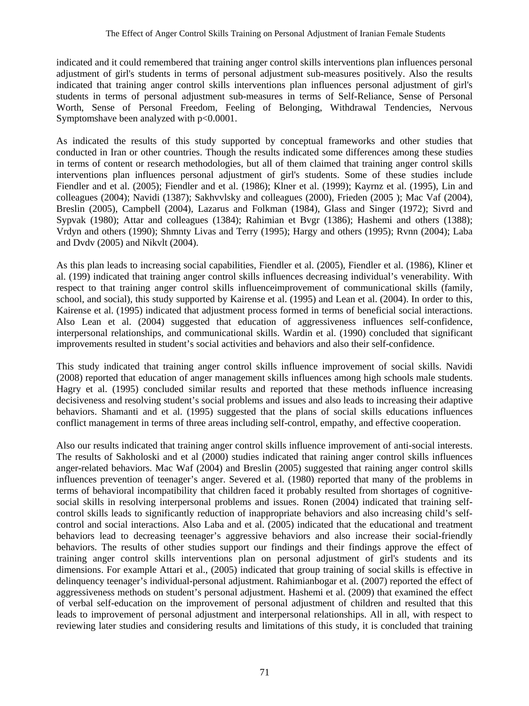indicated and it could remembered that training anger control skills interventions plan influences personal adjustment of girl's students in terms of personal adjustment sub-measures positively. Also the results indicated that training anger control skills interventions plan influences personal adjustment of girl's students in terms of personal adjustment sub-measures in terms of Self-Reliance, Sense of Personal Worth, Sense of Personal Freedom, Feeling of Belonging, Withdrawal Tendencies, Nervous Symptomshave been analyzed with p<0.0001.

As indicated the results of this study supported by conceptual frameworks and other studies that conducted in Iran or other countries. Though the results indicated some differences among these studies in terms of content or research methodologies, but all of them claimed that training anger control skills interventions plan influences personal adjustment of girl's students. Some of these studies include Fiendler and et al. (2005); Fiendler and et al. (1986); Klner et al. (1999); Kayrnz et al. (1995), Lin and colleagues (2004); Navidi (1387); Sakhvvlsky and colleagues (2000), Frieden (2005 ); Mac Vaf (2004), Breslin (2005), Campbell (2004), Lazarus and Folkman (1984), Glass and Singer (1972); Sivrd and Sypvak (1980); Attar and colleagues (1384); Rahimian et Bvgr (1386); Hashemi and others (1388); Vrdyn and others (1990); Shmnty Livas and Terry (1995); Hargy and others (1995); Rvnn (2004); Laba and Dvdv (2005) and Nikvlt (2004).

As this plan leads to increasing social capabilities, Fiendler et al. (2005), Fiendler et al. (1986), Kliner et al. (199) indicated that training anger control skills influences decreasing individual's venerability. With respect to that training anger control skills influenceimprovement of communicational skills (family, school, and social), this study supported by Kairense et al. (1995) and Lean et al. (2004). In order to this, Kairense et al. (1995) indicated that adjustment process formed in terms of beneficial social interactions. Also Lean et al. (2004) suggested that education of aggressiveness influences self-confidence, interpersonal relationships, and communicational skills. Wardin et al. (1990) concluded that significant improvements resulted in student's social activities and behaviors and also their self-confidence.

This study indicated that training anger control skills influence improvement of social skills. Navidi (2008) reported that education of anger management skills influences among high schools male students. Hagry et al. (1995) concluded similar results and reported that these methods influence increasing decisiveness and resolving student's social problems and issues and also leads to increasing their adaptive behaviors. Shamanti and et al. (1995) suggested that the plans of social skills educations influences conflict management in terms of three areas including self-control, empathy, and effective cooperation.

Also our results indicated that training anger control skills influence improvement of anti-social interests. The results of Sakholoski and et al (2000) studies indicated that raining anger control skills influences anger-related behaviors. Mac Waf (2004) and Breslin (2005) suggested that raining anger control skills influences prevention of teenager's anger. Severed et al. (1980) reported that many of the problems in terms of behavioral incompatibility that children faced it probably resulted from shortages of cognitivesocial skills in resolving interpersonal problems and issues. Ronen (2004) indicated that training selfcontrol skills leads to significantly reduction of inappropriate behaviors and also increasing child's selfcontrol and social interactions. Also Laba and et al. (2005) indicated that the educational and treatment behaviors lead to decreasing teenager's aggressive behaviors and also increase their social-friendly behaviors. The results of other studies support our findings and their findings approve the effect of training anger control skills interventions plan on personal adjustment of girl's students and its dimensions. For example Attari et al., (2005) indicated that group training of social skills is effective in delinquency teenager's individual-personal adjustment. Rahimianbogar et al. (2007) reported the effect of aggressiveness methods on student's personal adjustment. Hashemi et al. (2009) that examined the effect of verbal self-education on the improvement of personal adjustment of children and resulted that this leads to improvement of personal adjustment and interpersonal relationships. All in all, with respect to reviewing later studies and considering results and limitations of this study, it is concluded that training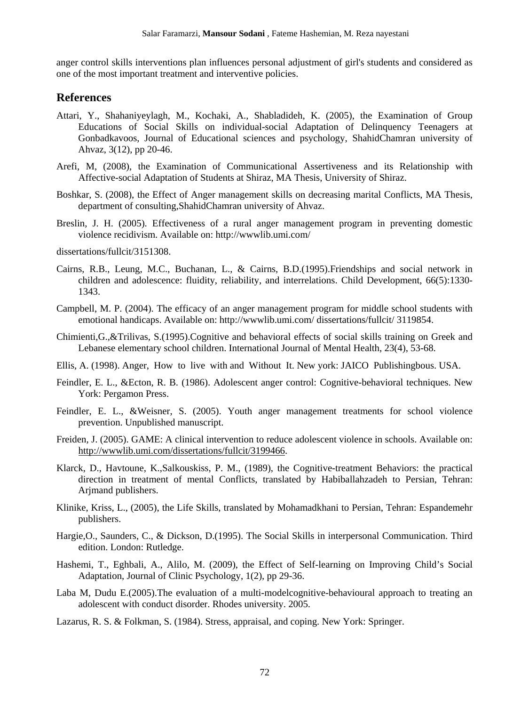anger control skills interventions plan influences personal adjustment of girl's students and considered as one of the most important treatment and interventive policies.

#### **References**

- Attari, Y., Shahaniyeylagh, M., Kochaki, A., Shabladideh, K. (2005), the Examination of Group Educations of Social Skills on individual-social Adaptation of Delinquency Teenagers at Gonbadkavoos, Journal of Educational sciences and psychology, ShahidChamran university of Ahvaz, 3(12), pp 20-46.
- Arefi, M, (2008), the Examination of Communicational Assertiveness and its Relationship with Affective-social Adaptation of Students at Shiraz, MA Thesis, University of Shiraz.
- Boshkar, S. (2008), the Effect of Anger management skills on decreasing marital Conflicts, MA Thesis, department of consulting,ShahidChamran university of Ahvaz.
- Breslin, J. H. (2005). Effectiveness of a rural anger management program in preventing domestic violence recidivism. Available on: http://wwwlib.umi.com/

dissertations/fullcit/3151308.

- Cairns, R.B., Leung, M.C., Buchanan, L., & Cairns, B.D.(1995).Friendships and social network in children and adolescence: fluidity, reliability, and interrelations. Child Development, 66(5):1330- 1343.
- Campbell, M. P. (2004). The efficacy of an anger management program for middle school students with emotional handicaps. Available on: http://wwwlib.umi.com/ dissertations/fullcit/ 3119854.
- Chimienti,G.,&Trilivas, S.(1995).Cognitive and behavioral effects of social skills training on Greek and Lebanese elementary school children. International Journal of Mental Health, 23(4), 53-68.
- Ellis, A. (1998). Anger, How to live with and Without It. New york: JAICO Publishingbous. USA.
- Feindler, E. L., &Ecton, R. B. (1986). Adolescent anger control: Cognitive-behavioral techniques. New York: Pergamon Press.
- Feindler, E. L., &Weisner, S. (2005). Youth anger management treatments for school violence prevention. Unpublished manuscript.
- Freiden, J. (2005). GAME: A clinical intervention to reduce adolescent violence in schools. Available on: http://wwwlib.umi.com/dissertations/fullcit/3199466.
- Klarck, D., Havtoune, K.,Salkouskiss, P. M., (1989), the Cognitive-treatment Behaviors: the practical direction in treatment of mental Conflicts, translated by Habiballahzadeh to Persian, Tehran: Arjmand publishers.
- Klinike, Kriss, L., (2005), the Life Skills, translated by Mohamadkhani to Persian, Tehran: Espandemehr publishers.
- Hargie,O., Saunders, C., & Dickson, D.(1995). The Social Skills in interpersonal Communication. Third edition. London: Rutledge.
- Hashemi, T., Eghbali, A., Alilo, M. (2009), the Effect of Self-learning on Improving Child's Social Adaptation, Journal of Clinic Psychology, 1(2), pp 29-36.
- Laba M, Dudu E.(2005).The evaluation of a multi-modelcognitive-behavioural approach to treating an adolescent with conduct disorder. Rhodes university. 2005.
- Lazarus, R. S. & Folkman, S. (1984). Stress, appraisal, and coping. New York: Springer.